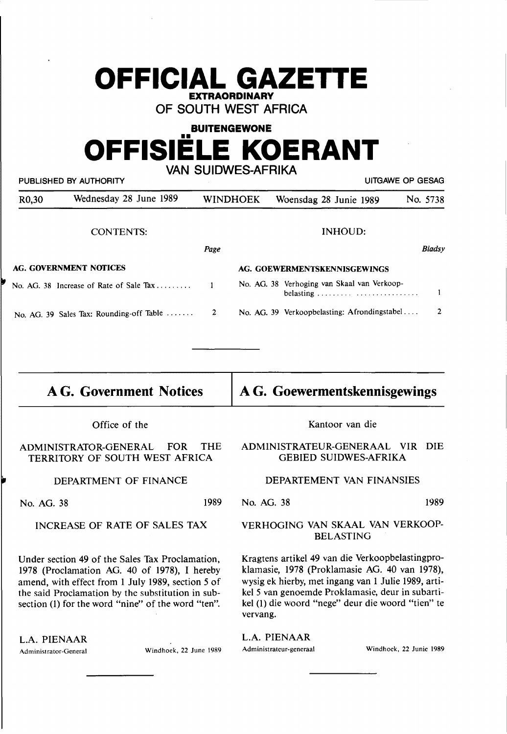# **OFFICIAL GAZETTE EXTRAORDINARY**

**OF SOUTH WEST AFRICA** 

# **BUITENGEWONE**  •• **OFFISIELE KOERANT VAN SUIDWES-AFRIKA**

|                    | PUBLISHED BY AUTHORITY                   |      |                 | UITGAWE OP GESAG                                         |          |
|--------------------|------------------------------------------|------|-----------------|----------------------------------------------------------|----------|
| R <sub>0</sub> ,30 | Wednesday 28 June 1989                   |      | <b>WINDHOEK</b> | Woensdag 28 Junie 1989                                   | No. 5738 |
|                    | <b>CONTENTS:</b>                         |      |                 | INHOUD:                                                  |          |
|                    |                                          | Page |                 |                                                          | Bladsy   |
|                    | AG. GOVERNMENT NOTICES                   |      |                 | AG. GOEWERMENTSKENNISGEWINGS                             |          |
|                    | No. AG. 38 Increase of Rate of Sale Tax  | 1    |                 | No. AG. 38 Verhoging van Skaal van Verkoop-<br>belasting |          |
|                    | No. AG. 39 Sales Tax: Rounding-off Table | 2    |                 | No. AG. 39 Verkoopbelasting: Afrondingstabel             | 2        |

# **AG. Government Notices**

**A G. Goewermentskennisgewings** 

Office of the

### ADMINISTRATOR-GENERAL FOR THE TERRITORY OF SOUTH WEST AFRICA

## DEPARTMENT OF FINANCE

No. AG. 38 1989

### INCREASE OF RATE OF SALES TAX

Under section **49** of the Sales Tax Proclamation, 1978 (Proclamation AG. 40 of 1978), I hereby amend, with effect from 1 July 1989, section 5 of the said Proclamation by the substitution in subsection (1) for the word "nine" of the word "ten".

L.A. PIENAAR

Administrator-General Windhoek, 22 June 1989

Kantoor van die

### ADMINISTRATEUR-GENERAAL VIR DIE GEBIED SUIDWES-AFRIKA

### DEPARTEMENT VAN FINANSIES

No. AG. 38 1989

### VERHOGING VAN SKAAL VAN VERKOOP-BELASTING

Kragtens artikel 49 van die Verkoopbelastingproklamasie, 1978 (Proklamasie AG. 40 van 1978), wysig ek hierby, met ingang van 1 Julie 1989, artikel 5 van genoemde Proklamasie, deur in subartikel (1) die woord "nege" deur die woord "tien" te vervang.

L.A. PIENAAR

Administrateur-generaal Windhoek, 22 Junie 1989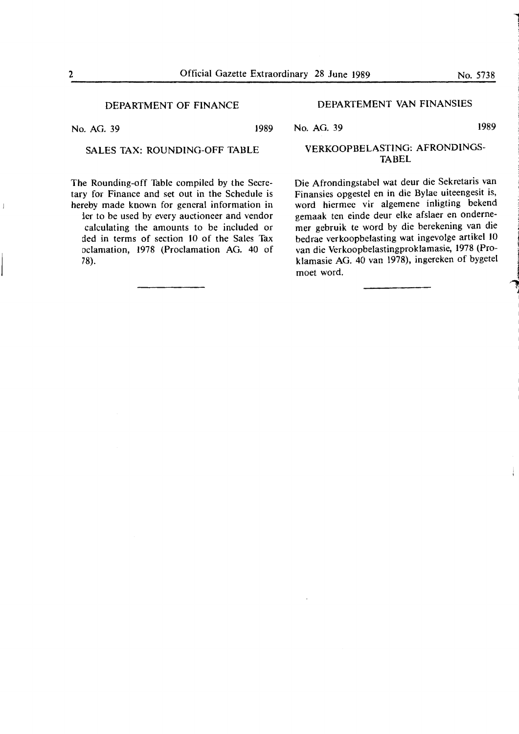### DEPARTMENT OF FINANCE

No. AG. 39 1989

78).

## SALES TAX: ROUNDING-OFF TABLE

The Rounding-off Table compiled by the Secretary for Finance and set out in the Schedule is hereby made known for general information in ier to be used by every auctioneer and vendor calculating the amounts to be included or ded in terms of section 10 of the Sales Tax oclamation, 1978 (Proclamation AG. 40 of

### DEPARTEMENT VAN FINANSIES

No. AG. 39 1989

### **VERKOOPBELASTING: AFRONDINGS-TABEL**

Die Afrondingstabel wat deur die Sekretaris van Finansies opgestel en in die Bylae uiteengesit is, word hiermee vir algemene inligting bekend gemaak ten einde deur elke afslaer en ondernemer gebruik te word by die berekening van die bedrae verkoopbelasting wat ingevolge artikel 10 van die Verkoopbelastingproklamasie, 1978 (Proklamasie AG. 40 van 1978), ingereken of bygetel moet word.

1 1 .<br>.<br>.

> ·~ la de se

1

**INVESTIGATION** literatur. **Jakimana** 

 $\overline{1}$